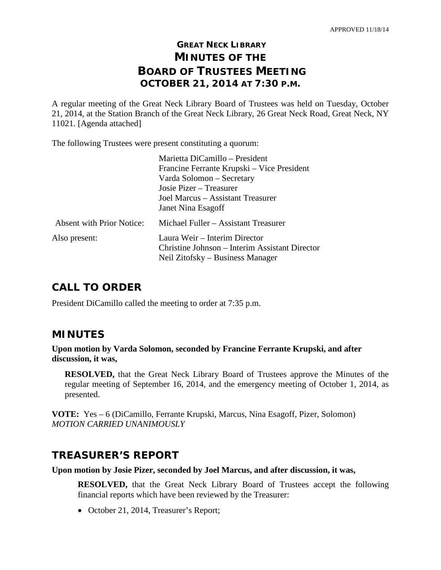# **GREAT NECK LIBRARY MINUTES OF THE BOARD OF TRUSTEES MEETING OCTOBER 21, 2014 AT 7:30 P.M.**

A regular meeting of the Great Neck Library Board of Trustees was held on Tuesday, October 21, 2014, at the Station Branch of the Great Neck Library, 26 Great Neck Road, Great Neck, NY 11021. [Agenda attached]

The following Trustees were present constituting a quorum:

|                                  | Marietta DiCamillo - President                 |
|----------------------------------|------------------------------------------------|
|                                  | Francine Ferrante Krupski – Vice President     |
|                                  | Varda Solomon – Secretary                      |
|                                  | Josie Pizer – Treasurer                        |
|                                  | Joel Marcus – Assistant Treasurer              |
|                                  | Janet Nina Esagoff                             |
| <b>Absent with Prior Notice:</b> | Michael Fuller - Assistant Treasurer           |
| Also present:                    | Laura Weir – Interim Director                  |
|                                  | Christine Johnson – Interim Assistant Director |
|                                  | Neil Zitofsky – Business Manager               |
|                                  |                                                |

# **CALL TO ORDER**

President DiCamillo called the meeting to order at 7:35 p.m.

# **MINUTES**

**Upon motion by Varda Solomon, seconded by Francine Ferrante Krupski, and after discussion, it was,**

**RESOLVED,** that the Great Neck Library Board of Trustees approve the Minutes of the regular meeting of September 16, 2014, and the emergency meeting of October 1, 2014, as presented.

**VOTE:** Yes – 6 (DiCamillo, Ferrante Krupski, Marcus, Nina Esagoff, Pizer, Solomon) *MOTION CARRIED UNANIMOUSLY* 

# **TREASURER'S REPORT**

**Upon motion by Josie Pizer, seconded by Joel Marcus, and after discussion, it was,**

**RESOLVED,** that the Great Neck Library Board of Trustees accept the following financial reports which have been reviewed by the Treasurer:

• October 21, 2014, Treasurer's Report;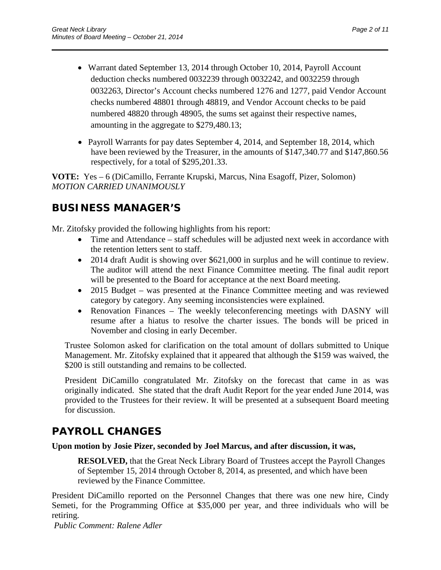• Warrant dated September 13, 2014 through October 10, 2014, Payroll Account deduction checks numbered 0032239 through 0032242, and 0032259 through 0032263, Director's Account checks numbered 1276 and 1277, paid Vendor Account checks numbered 48801 through 48819, and Vendor Account checks to be paid numbered 48820 through 48905, the sums set against their respective names, amounting in the aggregate to \$279,480.13;

\_\_\_\_\_\_\_\_\_\_\_\_\_\_\_\_\_\_\_\_\_\_\_\_\_\_\_\_\_\_\_\_\_\_\_\_\_\_\_\_\_\_\_\_\_\_\_\_\_\_\_\_\_\_\_\_\_\_\_\_\_\_\_\_\_\_\_\_\_\_

• Payroll Warrants for pay dates September 4, 2014, and September 18, 2014, which have been reviewed by the Treasurer, in the amounts of \$147,340.77 and \$147,860.56 respectively, for a total of \$295,201.33.

**VOTE:** Yes – 6 (DiCamillo, Ferrante Krupski, Marcus, Nina Esagoff, Pizer, Solomon) *MOTION CARRIED UNANIMOUSLY*

# **BUSINESS MANAGER'S**

Mr. Zitofsky provided the following highlights from his report:

- Time and Attendance staff schedules will be adjusted next week in accordance with the retention letters sent to staff.
- 2014 draft Audit is showing over \$621,000 in surplus and he will continue to review. The auditor will attend the next Finance Committee meeting. The final audit report will be presented to the Board for acceptance at the next Board meeting.
- 2015 Budget was presented at the Finance Committee meeting and was reviewed category by category. Any seeming inconsistencies were explained.
- Renovation Finances The weekly teleconferencing meetings with DASNY will resume after a hiatus to resolve the charter issues. The bonds will be priced in November and closing in early December.

Trustee Solomon asked for clarification on the total amount of dollars submitted to Unique Management. Mr. Zitofsky explained that it appeared that although the \$159 was waived, the \$200 is still outstanding and remains to be collected.

President DiCamillo congratulated Mr. Zitofsky on the forecast that came in as was originally indicated. She stated that the draft Audit Report for the year ended June 2014, was provided to the Trustees for their review. It will be presented at a subsequent Board meeting for discussion.

# **PAYROLL CHANGES**

### **Upon motion by Josie Pizer, seconded by Joel Marcus, and after discussion, it was,**

**RESOLVED,** that the Great Neck Library Board of Trustees accept the Payroll Changes of September 15, 2014 through October 8, 2014, as presented, and which have been reviewed by the Finance Committee.

President DiCamillo reported on the Personnel Changes that there was one new hire, Cindy Semeti, for the Programming Office at \$35,000 per year, and three individuals who will be retiring.

*Public Comment: Ralene Adler*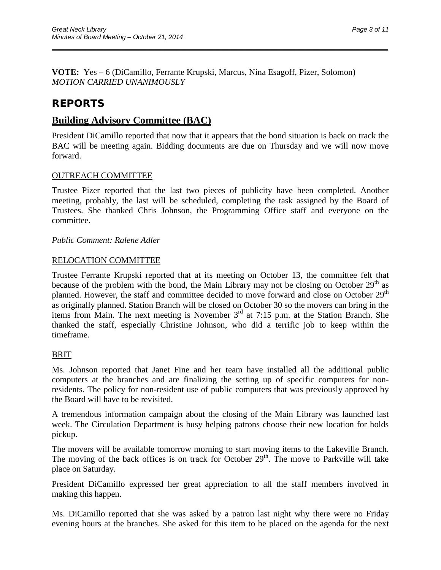**VOTE:** Yes – 6 (DiCamillo, Ferrante Krupski, Marcus, Nina Esagoff, Pizer, Solomon) *MOTION CARRIED UNANIMOUSLY*

# **REPORTS**

## **Building Advisory Committee (BAC)**

President DiCamillo reported that now that it appears that the bond situation is back on track the BAC will be meeting again. Bidding documents are due on Thursday and we will now move forward.

\_\_\_\_\_\_\_\_\_\_\_\_\_\_\_\_\_\_\_\_\_\_\_\_\_\_\_\_\_\_\_\_\_\_\_\_\_\_\_\_\_\_\_\_\_\_\_\_\_\_\_\_\_\_\_\_\_\_\_\_\_\_\_\_\_\_\_\_\_\_

### OUTREACH COMMITTEE

Trustee Pizer reported that the last two pieces of publicity have been completed. Another meeting, probably, the last will be scheduled, completing the task assigned by the Board of Trustees. She thanked Chris Johnson, the Programming Office staff and everyone on the committee.

*Public Comment: Ralene Adler* 

#### RELOCATION COMMITTEE

Trustee Ferrante Krupski reported that at its meeting on October 13, the committee felt that because of the problem with the bond, the Main Library may not be closing on October  $29<sup>th</sup>$  as planned. However, the staff and committee decided to move forward and close on October 29<sup>th</sup> as originally planned. Station Branch will be closed on October 30 so the movers can bring in the items from Main. The next meeting is November  $3<sup>rd</sup>$  at  $7:15$  p.m. at the Station Branch. She thanked the staff, especially Christine Johnson, who did a terrific job to keep within the timeframe.

#### BRIT

Ms. Johnson reported that Janet Fine and her team have installed all the additional public computers at the branches and are finalizing the setting up of specific computers for nonresidents. The policy for non-resident use of public computers that was previously approved by the Board will have to be revisited.

A tremendous information campaign about the closing of the Main Library was launched last week. The Circulation Department is busy helping patrons choose their new location for holds pickup.

The movers will be available tomorrow morning to start moving items to the Lakeville Branch. The moving of the back offices is on track for October  $29<sup>th</sup>$ . The move to Parkville will take place on Saturday.

President DiCamillo expressed her great appreciation to all the staff members involved in making this happen.

Ms. DiCamillo reported that she was asked by a patron last night why there were no Friday evening hours at the branches. She asked for this item to be placed on the agenda for the next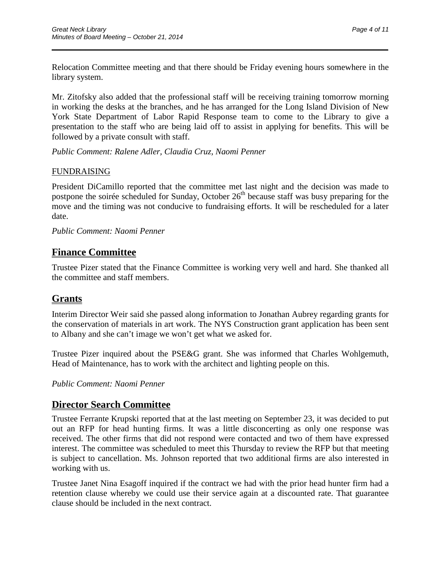Relocation Committee meeting and that there should be Friday evening hours somewhere in the library system.

\_\_\_\_\_\_\_\_\_\_\_\_\_\_\_\_\_\_\_\_\_\_\_\_\_\_\_\_\_\_\_\_\_\_\_\_\_\_\_\_\_\_\_\_\_\_\_\_\_\_\_\_\_\_\_\_\_\_\_\_\_\_\_\_\_\_\_\_\_\_

Mr. Zitofsky also added that the professional staff will be receiving training tomorrow morning in working the desks at the branches, and he has arranged for the Long Island Division of New York State Department of Labor Rapid Response team to come to the Library to give a presentation to the staff who are being laid off to assist in applying for benefits. This will be followed by a private consult with staff.

*Public Comment: Ralene Adler, Claudia Cruz, Naomi Penner*

#### FUNDRAISING

President DiCamillo reported that the committee met last night and the decision was made to postpone the soirée scheduled for Sunday, October  $26<sup>th</sup>$  because staff was busy preparing for the move and the timing was not conducive to fundraising efforts. It will be rescheduled for a later date.

*Public Comment: Naomi Penner*

## **Finance Committee**

Trustee Pizer stated that the Finance Committee is working very well and hard. She thanked all the committee and staff members.

## **Grants**

Interim Director Weir said she passed along information to Jonathan Aubrey regarding grants for the conservation of materials in art work. The NYS Construction grant application has been sent to Albany and she can't image we won't get what we asked for.

Trustee Pizer inquired about the PSE&G grant. She was informed that Charles Wohlgemuth, Head of Maintenance, has to work with the architect and lighting people on this.

*Public Comment: Naomi Penner*

## **Director Search Committee**

Trustee Ferrante Krupski reported that at the last meeting on September 23, it was decided to put out an RFP for head hunting firms. It was a little disconcerting as only one response was received. The other firms that did not respond were contacted and two of them have expressed interest. The committee was scheduled to meet this Thursday to review the RFP but that meeting is subject to cancellation. Ms. Johnson reported that two additional firms are also interested in working with us.

Trustee Janet Nina Esagoff inquired if the contract we had with the prior head hunter firm had a retention clause whereby we could use their service again at a discounted rate. That guarantee clause should be included in the next contract.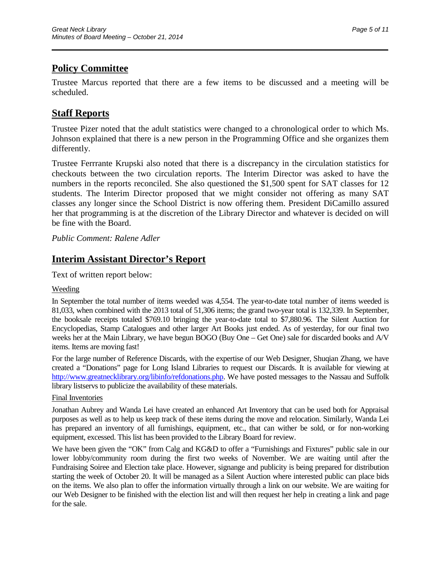# **Policy Committee**

Trustee Marcus reported that there are a few items to be discussed and a meeting will be scheduled.

\_\_\_\_\_\_\_\_\_\_\_\_\_\_\_\_\_\_\_\_\_\_\_\_\_\_\_\_\_\_\_\_\_\_\_\_\_\_\_\_\_\_\_\_\_\_\_\_\_\_\_\_\_\_\_\_\_\_\_\_\_\_\_\_\_\_\_\_\_\_

## **Staff Reports**

Trustee Pizer noted that the adult statistics were changed to a chronological order to which Ms. Johnson explained that there is a new person in the Programming Office and she organizes them differently.

Trustee Ferrrante Krupski also noted that there is a discrepancy in the circulation statistics for checkouts between the two circulation reports. The Interim Director was asked to have the numbers in the reports reconciled. She also questioned the \$1,500 spent for SAT classes for 12 students. The Interim Director proposed that we might consider not offering as many SAT classes any longer since the School District is now offering them. President DiCamillo assured her that programming is at the discretion of the Library Director and whatever is decided on will be fine with the Board.

*Public Comment: Ralene Adler*

## **Interim Assistant Director's Report**

Text of written report below:

#### Weeding

In September the total number of items weeded was 4,554. The year-to-date total number of items weeded is 81,033, when combined with the 2013 total of 51,306 items; the grand two-year total is 132,339. In September, the booksale receipts totaled \$769.10 bringing the year-to-date total to \$7,880.96. The Silent Auction for Encyclopedias, Stamp Catalogues and other larger Art Books just ended. As of yesterday, for our final two weeks her at the Main Library, we have begun BOGO (Buy One – Get One) sale for discarded books and A/V items. Items are moving fast!

For the large number of Reference Discards, with the expertise of our Web Designer, Shuqian Zhang, we have created a "Donations" page for Long Island Libraries to request our Discards. It is available for viewing at [http://www.greatnecklibrary.org/libinfo/refdonations.php.](http://www.greatnecklibrary.org/libinfo/refdonations.php) We have posted messages to the Nassau and Suffolk library listservs to publicize the availability of these materials.

#### Final Inventories

Jonathan Aubrey and Wanda Lei have created an enhanced Art Inventory that can be used both for Appraisal purposes as well as to help us keep track of these items during the move and relocation. Similarly, Wanda Lei has prepared an inventory of all furnishings, equipment, etc., that can wither be sold, or for non-working equipment, excessed. This list has been provided to the Library Board for review.

We have been given the "OK" from Calg and KG&D to offer a "Furnishings and Fixtures" public sale in our lower lobby/community room during the first two weeks of November. We are waiting until after the Fundraising Soiree and Election take place. However, signange and publicity is being prepared for distribution starting the week of October 20. It will be managed as a Silent Auction where interested public can place bids on the items. We also plan to offer the information virtually through a link on our website. We are waiting for our Web Designer to be finished with the election list and will then request her help in creating a link and page for the sale.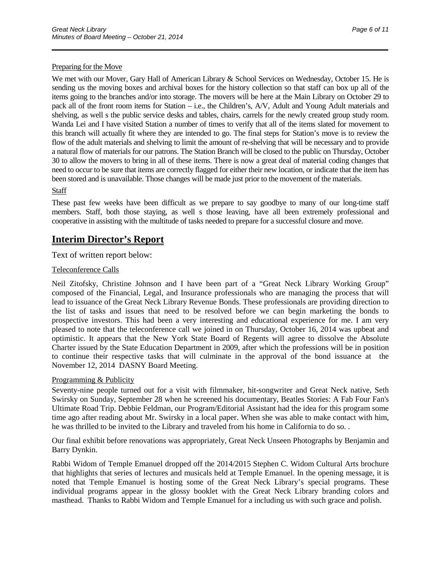We met with our Mover, Gary Hall of American Library & School Services on Wednesday, October 15. He is sending us the moving boxes and archival boxes for the history collection so that staff can box up all of the items going to the branches and/or into storage. The movers will be here at the Main Library on October 29 to pack all of the front room items for Station – i.e., the Children's, A/V, Adult and Young Adult materials and shelving, as well s the public service desks and tables, chairs, carrels for the newly created group study room. Wanda Lei and I have visited Station a number of times to verify that all of the items slated for movement to this branch will actually fit where they are intended to go. The final steps for Station's move is to review the flow of the adult materials and shelving to limit the amount of re-shelving that will be necessary and to provide a natural flow of materials for our patrons. The Station Branch will be closed to the public on Thursday, October 30 to allow the movers to bring in all of these items. There is now a great deal of material coding changes that need to occur to be sure that items are correctly flagged for either their new location, or indicate that the item has been stored and is unavailable. Those changes will be made just prior to the movement of the materials.

\_\_\_\_\_\_\_\_\_\_\_\_\_\_\_\_\_\_\_\_\_\_\_\_\_\_\_\_\_\_\_\_\_\_\_\_\_\_\_\_\_\_\_\_\_\_\_\_\_\_\_\_\_\_\_\_\_\_\_\_\_\_\_\_\_\_\_\_\_\_

#### **Staff**

These past few weeks have been difficult as we prepare to say goodbye to many of our long-time staff members. Staff, both those staying, as well s those leaving, have all been extremely professional and cooperative in assisting with the multitude of tasks needed to prepare for a successful closure and move.

## **Interim Director's Report**

Text of written report below:

#### Teleconference Calls

Neil Zitofsky, Christine Johnson and I have been part of a "Great Neck Library Working Group" composed of the Financial, Legal, and Insurance professionals who are managing the process that will lead to issuance of the Great Neck Library Revenue Bonds. These professionals are providing direction to the list of tasks and issues that need to be resolved before we can begin marketing the bonds to prospective investors. This had been a very interesting and educational experience for me. I am very pleased to note that the teleconference call we joined in on Thursday, October 16, 2014 was upbeat and optimistic. It appears that the New York State Board of Regents will agree to dissolve the Absolute Charter issued by the State Education Department in 2009, after which the professions will be in position to continue their respective tasks that will culminate in the approval of the bond issuance at the November 12, 2014 DASNY Board Meeting.

#### Programming & Publicity

Seventy-nine people turned out for a visit with filmmaker, hit-songwriter and Great Neck native, Seth Swirsky on Sunday, September 28 when he screened his documentary, Beatles Stories: A Fab Four Fan's Ultimate Road Trip. Debbie Feldman, our Program/Editorial Assistant had the idea for this program some time ago after reading about Mr. Swirsky in a local paper. When she was able to make contact with him, he was thrilled to be invited to the Library and traveled from his home in California to do so. .

Our final exhibit before renovations was appropriately, Great Neck Unseen Photographs by Benjamin and Barry Dynkin.

Rabbi Widom of Temple Emanuel dropped off the 2014/2015 Stephen C. Widom Cultural Arts brochure that highlights that series of lectures and musicals held at Temple Emanuel. In the opening message, it is noted that Temple Emanuel is hosting some of the Great Neck Library's special programs. These individual programs appear in the glossy booklet with the Great Neck Library branding colors and masthead. Thanks to Rabbi Widom and Temple Emanuel for a including us with such grace and polish.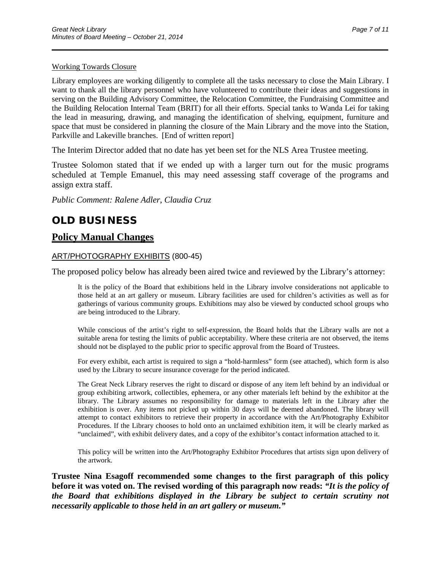#### Working Towards Closure

Library employees are working diligently to complete all the tasks necessary to close the Main Library. I want to thank all the library personnel who have volunteered to contribute their ideas and suggestions in serving on the Building Advisory Committee, the Relocation Committee, the Fundraising Committee and the Building Relocation Internal Team (BRIT) for all their efforts. Special tanks to Wanda Lei for taking the lead in measuring, drawing, and managing the identification of shelving, equipment, furniture and space that must be considered in planning the closure of the Main Library and the move into the Station, Parkville and Lakeville branches. [End of written report]

\_\_\_\_\_\_\_\_\_\_\_\_\_\_\_\_\_\_\_\_\_\_\_\_\_\_\_\_\_\_\_\_\_\_\_\_\_\_\_\_\_\_\_\_\_\_\_\_\_\_\_\_\_\_\_\_\_\_\_\_\_\_\_\_\_\_\_\_\_\_

The Interim Director added that no date has yet been set for the NLS Area Trustee meeting.

Trustee Solomon stated that if we ended up with a larger turn out for the music programs scheduled at Temple Emanuel, this may need assessing staff coverage of the programs and assign extra staff.

*Public Comment: Ralene Adler, Claudia Cruz*

# **OLD BUSINESS**

### **Policy Manual Changes**

#### ART/PHOTOGRAPHY EXHIBITS (800-45)

The proposed policy below has already been aired twice and reviewed by the Library's attorney:

It is the policy of the Board that exhibitions held in the Library involve considerations not applicable to those held at an art gallery or museum. Library facilities are used for children's activities as well as for gatherings of various community groups. Exhibitions may also be viewed by conducted school groups who are being introduced to the Library.

While conscious of the artist's right to self-expression, the Board holds that the Library walls are not a suitable arena for testing the limits of public acceptability. Where these criteria are not observed, the items should not be displayed to the public prior to specific approval from the Board of Trustees.

For every exhibit, each artist is required to sign a "hold-harmless" form (see attached), which form is also used by the Library to secure insurance coverage for the period indicated.

The Great Neck Library reserves the right to discard or dispose of any item left behind by an individual or group exhibiting artwork, collectibles, ephemera, or any other materials left behind by the exhibitor at the library. The Library assumes no responsibility for damage to materials left in the Library after the exhibition is over. Any items not picked up within 30 days will be deemed abandoned. The library will attempt to contact exhibitors to retrieve their property in accordance with the Art/Photography Exhibitor Procedures. If the Library chooses to hold onto an unclaimed exhibition item, it will be clearly marked as "unclaimed", with exhibit delivery dates, and a copy of the exhibitor's contact information attached to it.

This policy will be written into the Art/Photography Exhibitor Procedures that artists sign upon delivery of the artwork.

**Trustee Nina Esagoff recommended some changes to the first paragraph of this policy before it was voted on. The revised wording of this paragraph now reads:** *"It is the policy of the Board that exhibitions displayed in the Library be subject to certain scrutiny not necessarily applicable to those held in an art gallery or museum."*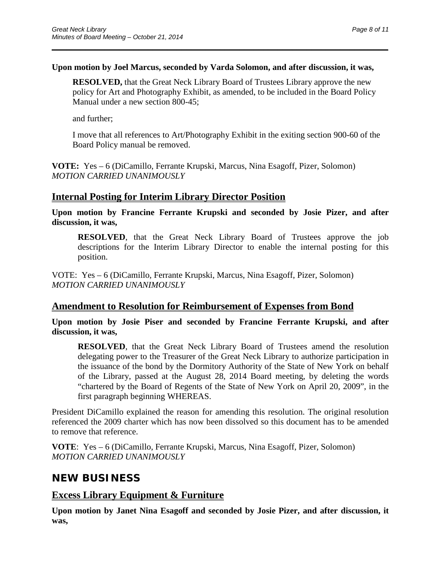### **Upon motion by Joel Marcus, seconded by Varda Solomon, and after discussion, it was,**

\_\_\_\_\_\_\_\_\_\_\_\_\_\_\_\_\_\_\_\_\_\_\_\_\_\_\_\_\_\_\_\_\_\_\_\_\_\_\_\_\_\_\_\_\_\_\_\_\_\_\_\_\_\_\_\_\_\_\_\_\_\_\_\_\_\_\_\_\_\_

**RESOLVED,** that the Great Neck Library Board of Trustees Library approve the new policy for Art and Photography Exhibit, as amended, to be included in the Board Policy Manual under a new section 800-45;

and further;

I move that all references to Art/Photography Exhibit in the exiting section 900-60 of the Board Policy manual be removed.

**VOTE:** Yes – 6 (DiCamillo, Ferrante Krupski, Marcus, Nina Esagoff, Pizer, Solomon) *MOTION CARRIED UNANIMOUSLY*

## **Internal Posting for Interim Library Director Position**

**Upon motion by Francine Ferrante Krupski and seconded by Josie Pizer, and after discussion, it was,**

**RESOLVED**, that the Great Neck Library Board of Trustees approve the job descriptions for the Interim Library Director to enable the internal posting for this position.

VOTE: Yes – 6 (DiCamillo, Ferrante Krupski, Marcus, Nina Esagoff, Pizer, Solomon) *MOTION CARRIED UNANIMOUSLY*

## **Amendment to Resolution for Reimbursement of Expenses from Bond**

**Upon motion by Josie Piser and seconded by Francine Ferrante Krupski, and after discussion, it was,**

**RESOLVED**, that the Great Neck Library Board of Trustees amend the resolution delegating power to the Treasurer of the Great Neck Library to authorize participation in the issuance of the bond by the Dormitory Authority of the State of New York on behalf of the Library, passed at the August 28, 2014 Board meeting, by deleting the words "chartered by the Board of Regents of the State of New York on April 20, 2009", in the first paragraph beginning WHEREAS.

President DiCamillo explained the reason for amending this resolution. The original resolution referenced the 2009 charter which has now been dissolved so this document has to be amended to remove that reference.

**VOTE**: Yes – 6 (DiCamillo, Ferrante Krupski, Marcus, Nina Esagoff, Pizer, Solomon) *MOTION CARRIED UNANIMOUSLY*

# **NEW BUSINESS**

## **Excess Library Equipment & Furniture**

**Upon motion by Janet Nina Esagoff and seconded by Josie Pizer, and after discussion, it was,**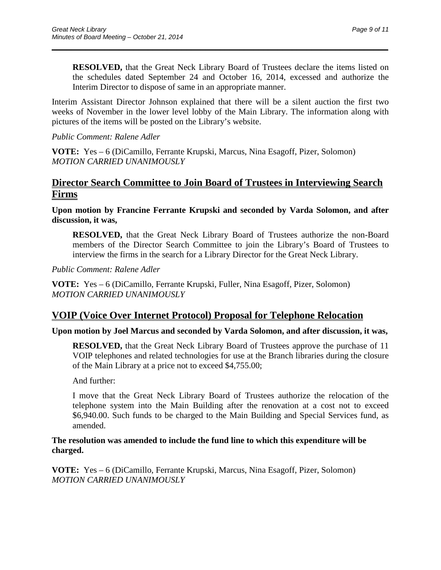**RESOLVED,** that the Great Neck Library Board of Trustees declare the items listed on the schedules dated September 24 and October 16, 2014, excessed and authorize the Interim Director to dispose of same in an appropriate manner.

Interim Assistant Director Johnson explained that there will be a silent auction the first two weeks of November in the lower level lobby of the Main Library. The information along with pictures of the items will be posted on the Library's website.

\_\_\_\_\_\_\_\_\_\_\_\_\_\_\_\_\_\_\_\_\_\_\_\_\_\_\_\_\_\_\_\_\_\_\_\_\_\_\_\_\_\_\_\_\_\_\_\_\_\_\_\_\_\_\_\_\_\_\_\_\_\_\_\_\_\_\_\_\_\_

*Public Comment: Ralene Adler*

**VOTE:** Yes – 6 (DiCamillo, Ferrante Krupski, Marcus, Nina Esagoff, Pizer, Solomon) *MOTION CARRIED UNANIMOUSLY*

## **Director Search Committee to Join Board of Trustees in Interviewing Search Firms**

**Upon motion by Francine Ferrante Krupski and seconded by Varda Solomon, and after discussion, it was,**

**RESOLVED,** that the Great Neck Library Board of Trustees authorize the non-Board members of the Director Search Committee to join the Library's Board of Trustees to interview the firms in the search for a Library Director for the Great Neck Library.

*Public Comment: Ralene Adler*

**VOTE:** Yes – 6 (DiCamillo, Ferrante Krupski, Fuller, Nina Esagoff, Pizer, Solomon) *MOTION CARRIED UNANIMOUSLY*

## **VOIP (Voice Over Internet Protocol) Proposal for Telephone Relocation**

#### **Upon motion by Joel Marcus and seconded by Varda Solomon, and after discussion, it was,**

**RESOLVED,** that the Great Neck Library Board of Trustees approve the purchase of 11 VOIP telephones and related technologies for use at the Branch libraries during the closure of the Main Library at a price not to exceed \$4,755.00;

And further:

I move that the Great Neck Library Board of Trustees authorize the relocation of the telephone system into the Main Building after the renovation at a cost not to exceed \$6,940.00. Such funds to be charged to the Main Building and Special Services fund, as amended.

### **The resolution was amended to include the fund line to which this expenditure will be charged.**

**VOTE:** Yes – 6 (DiCamillo, Ferrante Krupski, Marcus, Nina Esagoff, Pizer, Solomon) *MOTION CARRIED UNANIMOUSLY*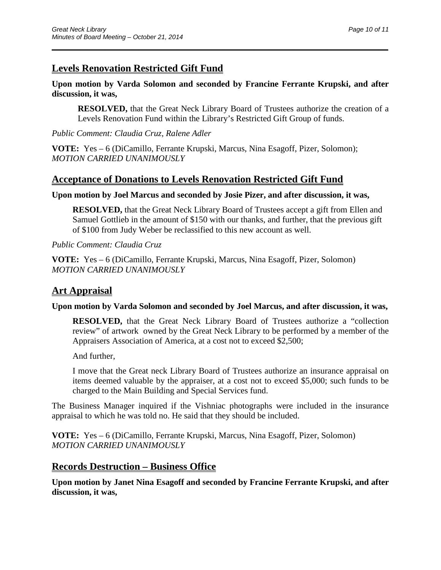# **Levels Renovation Restricted Gift Fund**

### **Upon motion by Varda Solomon and seconded by Francine Ferrante Krupski, and after discussion, it was,**

\_\_\_\_\_\_\_\_\_\_\_\_\_\_\_\_\_\_\_\_\_\_\_\_\_\_\_\_\_\_\_\_\_\_\_\_\_\_\_\_\_\_\_\_\_\_\_\_\_\_\_\_\_\_\_\_\_\_\_\_\_\_\_\_\_\_\_\_\_\_

**RESOLVED,** that the Great Neck Library Board of Trustees authorize the creation of a Levels Renovation Fund within the Library's Restricted Gift Group of funds.

*Public Comment: Claudia Cruz, Ralene Adler*

**VOTE:** Yes – 6 (DiCamillo, Ferrante Krupski, Marcus, Nina Esagoff, Pizer, Solomon); *MOTION CARRIED UNANIMOUSLY*

## **Acceptance of Donations to Levels Renovation Restricted Gift Fund**

### **Upon motion by Joel Marcus and seconded by Josie Pizer, and after discussion, it was,**

**RESOLVED,** that the Great Neck Library Board of Trustees accept a gift from Ellen and Samuel Gottlieb in the amount of \$150 with our thanks, and further, that the previous gift of \$100 from Judy Weber be reclassified to this new account as well.

*Public Comment: Claudia Cruz*

**VOTE:** Yes – 6 (DiCamillo, Ferrante Krupski, Marcus, Nina Esagoff, Pizer, Solomon) *MOTION CARRIED UNANIMOUSLY*

# **Art Appraisal**

### **Upon motion by Varda Solomon and seconded by Joel Marcus, and after discussion, it was,**

**RESOLVED,** that the Great Neck Library Board of Trustees authorize a "collection review" of artwork owned by the Great Neck Library to be performed by a member of the Appraisers Association of America, at a cost not to exceed \$2,500;

And further,

I move that the Great neck Library Board of Trustees authorize an insurance appraisal on items deemed valuable by the appraiser, at a cost not to exceed \$5,000; such funds to be charged to the Main Building and Special Services fund.

The Business Manager inquired if the Vishniac photographs were included in the insurance appraisal to which he was told no. He said that they should be included.

**VOTE:** Yes – 6 (DiCamillo, Ferrante Krupski, Marcus, Nina Esagoff, Pizer, Solomon) *MOTION CARRIED UNANIMOUSLY*

## **Records Destruction – Business Office**

**Upon motion by Janet Nina Esagoff and seconded by Francine Ferrante Krupski, and after discussion, it was,**